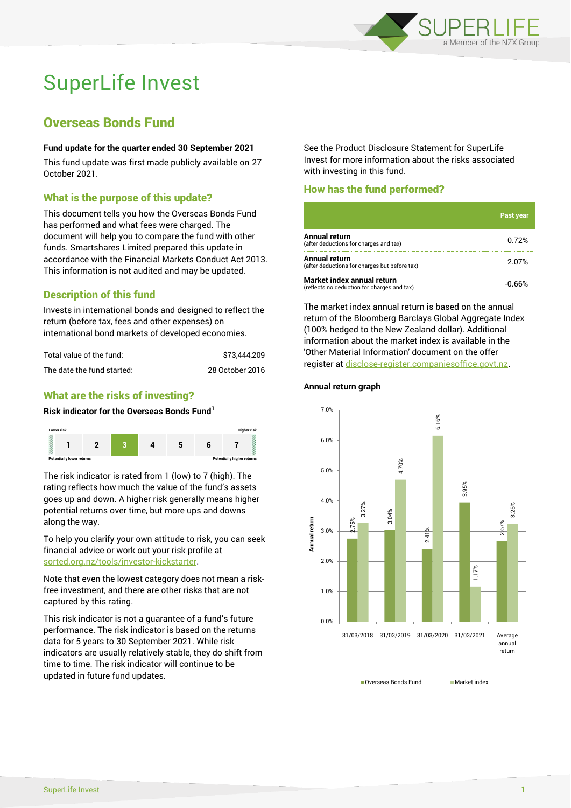

# SuperLife Invest

## Overseas Bonds Fund

## **Fund update for the quarter ended 30 September 2021**

This fund update was first made publicly available on 27 October 2021.

## What is the purpose of this update?

This document tells you how the Overseas Bonds Fund has performed and what fees were charged. The document will help you to compare the fund with other funds. Smartshares Limited prepared this update in accordance with the Financial Markets Conduct Act 2013. This information is not audited and may be updated.

## Description of this fund

Invests in international bonds and designed to reflect the return (before tax, fees and other expenses) on international bond markets of developed economies.

| Total value of the fund:   | \$73.444.209    |
|----------------------------|-----------------|
| The date the fund started: | 28 October 2016 |

## What are the risks of investing?

## **Risk indicator for the Overseas Bonds Fund<sup>1</sup>**



The risk indicator is rated from 1 (low) to 7 (high). The rating reflects how much the value of the fund's assets goes up and down. A higher risk generally means higher potential returns over time, but more ups and downs along the way.

To help you clarify your own attitude to risk, you can seek financial advice or work out your risk profile at [sorted.org.nz/tools/investor-kickstarter.](http://www.sorted.org.nz/tools/investor-kickstarter)

Note that even the lowest category does not mean a riskfree investment, and there are other risks that are not captured by this rating.

This risk indicator is not a guarantee of a fund's future performance. The risk indicator is based on the returns data for 5 years to 30 September 2021. While risk indicators are usually relatively stable, they do shift from time to time. The risk indicator will continue to be updated in future fund updates.

See the Product Disclosure Statement for SuperLife Invest for more information about the risks associated with investing in this fund.

## How has the fund performed?

|                                                                           | <b>Past year</b> |
|---------------------------------------------------------------------------|------------------|
| Annual return<br>(after deductions for charges and tax)                   | 0.72%            |
| <b>Annual return</b><br>(after deductions for charges but before tax)     | 2.07%            |
| Market index annual return<br>(reflects no deduction for charges and tax) | -0.66%           |

The market index annual return is based on the annual return of the Bloomberg Barclays Global Aggregate Index (100% hedged to the New Zealand dollar). Additional information about the market index is available in the 'Other Material Information' document on the offer register a[t disclose-register.companiesoffice.govt.nz.](http://www.disclose-register.companiesoffice.govt.nz/)

#### **Annual return graph**



■ Overseas Bonds Fund Market index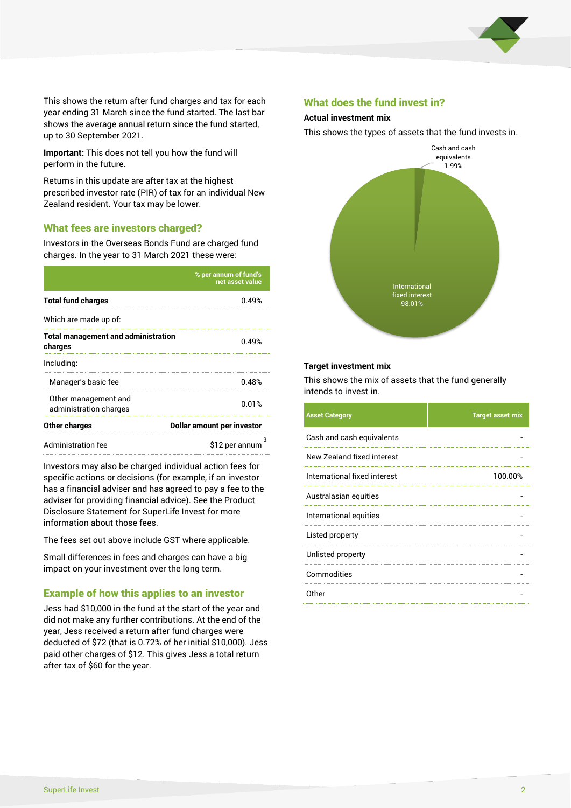

This shows the return after fund charges and tax for each year ending 31 March since the fund started. The last bar shows the average annual return since the fund started, up to 30 September 2021.

**Important:** This does not tell you how the fund will perform in the future.

Returns in this update are after tax at the highest prescribed investor rate (PIR) of tax for an individual New Zealand resident. Your tax may be lower.

## What fees are investors charged?

Investors in the Overseas Bonds Fund are charged fund charges. In the year to 31 March 2021 these were:

|                                                       | % per annum of fund's<br>net asset value |  |
|-------------------------------------------------------|------------------------------------------|--|
| <b>Total fund charges</b>                             | 0.49%                                    |  |
| Which are made up of:                                 |                                          |  |
| <b>Total management and administration</b><br>charges | 0.49%                                    |  |
| Including:                                            |                                          |  |
| Manager's basic fee                                   | 0.48%                                    |  |
| Other management and<br>administration charges        | 0.01%                                    |  |
| Other charges                                         | Dollar amount per investor               |  |
| <b>Administration fee</b>                             | \$12 per annum                           |  |

Investors may also be charged individual action fees for specific actions or decisions (for example, if an investor has a financial adviser and has agreed to pay a fee to the adviser for providing financial advice). See the Product Disclosure Statement for SuperLife Invest for more information about those fees.

The fees set out above include GST where applicable.

Small differences in fees and charges can have a big impact on your investment over the long term.

## Example of how this applies to an investor

Jess had \$10,000 in the fund at the start of the year and did not make any further contributions. At the end of the year, Jess received a return after fund charges were deducted of \$72 (that is 0.72% of her initial \$10,000). Jess paid other charges of \$12. This gives Jess a total return after tax of \$60 for the year.

## What does the fund invest in?

#### **Actual investment mix**

This shows the types of assets that the fund invests in.



#### **Target investment mix**

This shows the mix of assets that the fund generally intends to invest in.

| <b>Asset Category</b>        | <b>Target asset mix</b> |
|------------------------------|-------------------------|
| Cash and cash equivalents    |                         |
| New Zealand fixed interest   |                         |
| International fixed interest | 100.00%                 |
| Australasian equities        |                         |
| International equities       |                         |
| Listed property              |                         |
| Unlisted property            |                         |
| Commodities                  |                         |
| Other                        |                         |